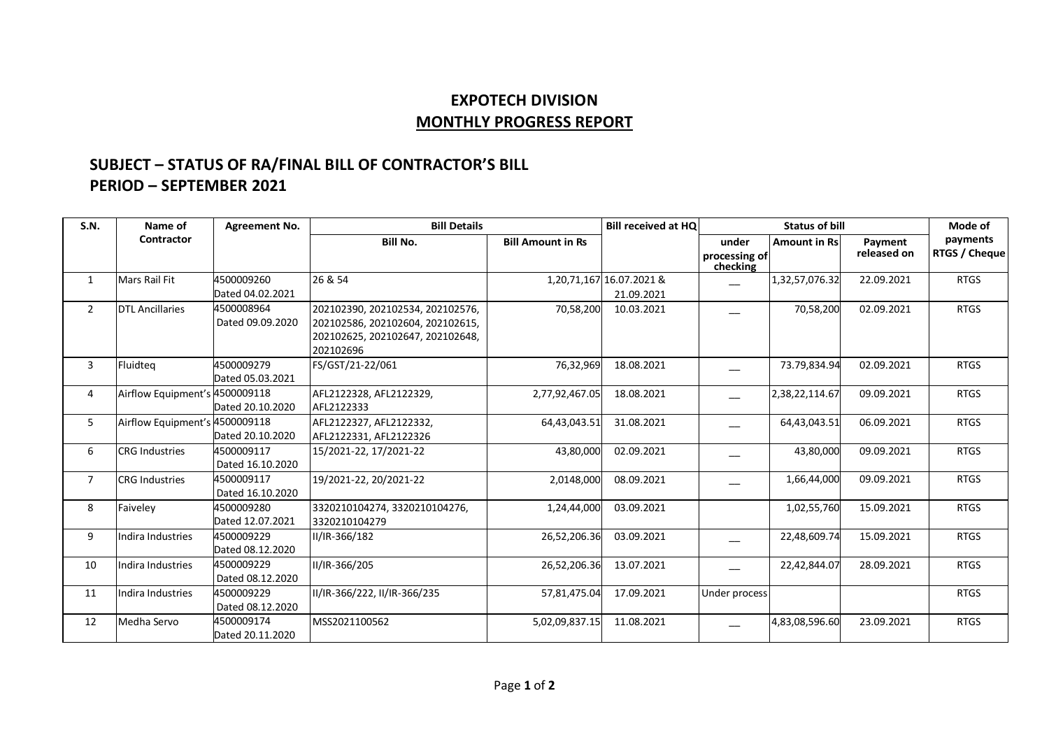## **EXPOTECH DIVISION MONTHLY PROGRESS REPORT**

## **SUBJECT – STATUS OF RA/FINAL BILL OF CONTRACTOR'S BILL PERIOD – SEPTEMBER 2021**

| S.N.           | Name of                        | <b>Agreement No.</b>           | <b>Bill Details</b>                                                                                                   |                          | <b>Bill received at HQ</b>             | <b>Status of bill</b>              |                      |                        | Mode of                   |
|----------------|--------------------------------|--------------------------------|-----------------------------------------------------------------------------------------------------------------------|--------------------------|----------------------------------------|------------------------------------|----------------------|------------------------|---------------------------|
|                | Contractor                     |                                | <b>Bill No.</b>                                                                                                       | <b>Bill Amount in Rs</b> |                                        | under<br>processing of<br>checking | <b>Amount in Rsl</b> | Payment<br>released on | payments<br>RTGS / Cheque |
| $\mathbf{1}$   | <b>Mars Rail Fit</b>           | 4500009260<br>Dated 04.02.2021 | 26 & 54                                                                                                               |                          | 1,20,71,167 16.07.2021 &<br>21.09.2021 |                                    | 1,32,57,076.32       | 22.09.2021             | <b>RTGS</b>               |
| $\overline{2}$ | <b>DTL Ancillaries</b>         | 4500008964<br>Dated 09.09.2020 | 202102390, 202102534, 202102576,<br>202102586, 202102604, 202102615,<br>202102625, 202102647, 202102648,<br>202102696 | 70,58,200                | 10.03.2021                             |                                    | 70,58,200            | 02.09.2021             | <b>RTGS</b>               |
| 3              | Fluidteg                       | 4500009279<br>Dated 05.03.2021 | FS/GST/21-22/061                                                                                                      | 76,32,969                | 18.08.2021                             |                                    | 73.79,834.94         | 02.09.2021             | <b>RTGS</b>               |
| 4              | Airflow Equipment's 4500009118 | Dated 20.10.2020               | AFL2122328, AFL2122329,<br>AFL2122333                                                                                 | 2,77,92,467.05           | 18.08.2021                             |                                    | 2,38,22,114.67       | 09.09.2021             | <b>RTGS</b>               |
| 5              | Airflow Equipment's 4500009118 | Dated 20.10.2020               | AFL2122327, AFL2122332,<br>AFL2122331, AFL2122326                                                                     | 64,43,043.51             | 31.08.2021                             |                                    | 64,43,043.51         | 06.09.2021             | <b>RTGS</b>               |
| 6              | <b>CRG Industries</b>          | 4500009117<br>Dated 16.10.2020 | 15/2021-22, 17/2021-22                                                                                                | 43,80,000                | 02.09.2021                             |                                    | 43,80,000            | 09.09.2021             | <b>RTGS</b>               |
| $\overline{7}$ | <b>CRG Industries</b>          | 4500009117<br>Dated 16.10.2020 | 19/2021-22, 20/2021-22                                                                                                | 2,0148,000               | 08.09.2021                             |                                    | 1,66,44,000          | 09.09.2021             | <b>RTGS</b>               |
| 8              | Faiveley                       | 4500009280<br>Dated 12.07.2021 | 3320210104274, 3320210104276,<br>3320210104279                                                                        | 1,24,44,000              | 03.09.2021                             |                                    | 1,02,55,760          | 15.09.2021             | <b>RTGS</b>               |
| 9              | Indira Industries              | 4500009229<br>Dated 08.12.2020 | II/IR-366/182                                                                                                         | 26,52,206.36             | 03.09.2021                             |                                    | 22,48,609.74         | 15.09.2021             | <b>RTGS</b>               |
| 10             | Indira Industries              | 4500009229<br>Dated 08.12.2020 | II/IR-366/205                                                                                                         | 26,52,206.36             | 13.07.2021                             |                                    | 22,42,844.07         | 28.09.2021             | <b>RTGS</b>               |
| 11             | Indira Industries              | 4500009229<br>Dated 08.12.2020 | II/IR-366/222, II/IR-366/235                                                                                          | 57,81,475.04             | 17.09.2021                             | Under process                      |                      |                        | <b>RTGS</b>               |
| 12             | Medha Servo                    | 4500009174<br>Dated 20.11.2020 | MSS2021100562                                                                                                         | 5,02,09,837.15           | 11.08.2021                             |                                    | 4,83,08,596.60       | 23.09.2021             | <b>RTGS</b>               |